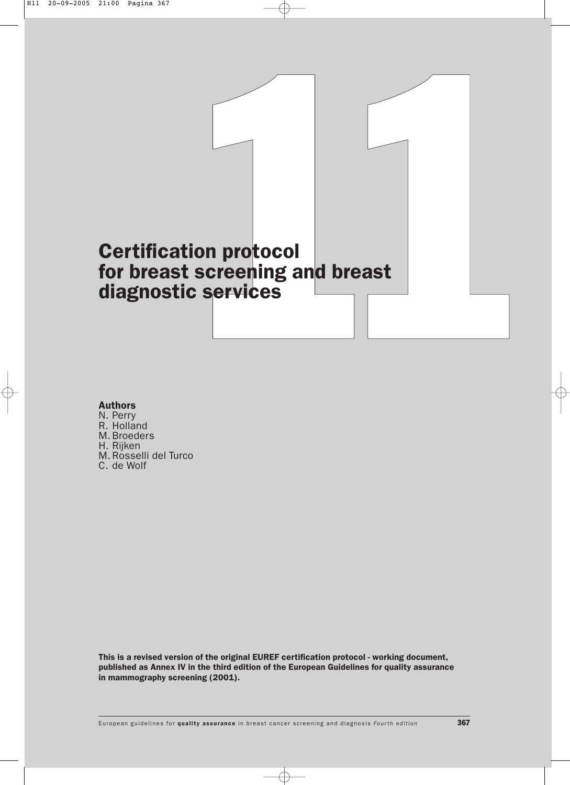# Certification protocol for breast screening and breast diagnostic services

#### Authors

N. Perry R. Holland M. Broeders H. Rijken M. Rosselli del Turco C. de Wolf

This is a revised version of the original EUREF certification protocol - working document, published as Annex IV in the third edition of the European Guidelines for quality assurance in mammography screening (2001).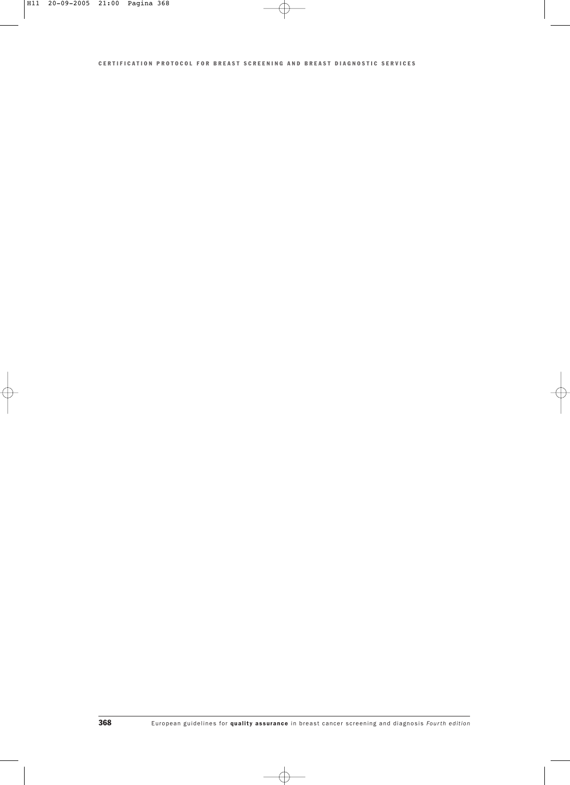#### CERTIFICATION PROTOCOL FOR BREAST SCREENING AND BREAST DIAGNOSTIC SERVICES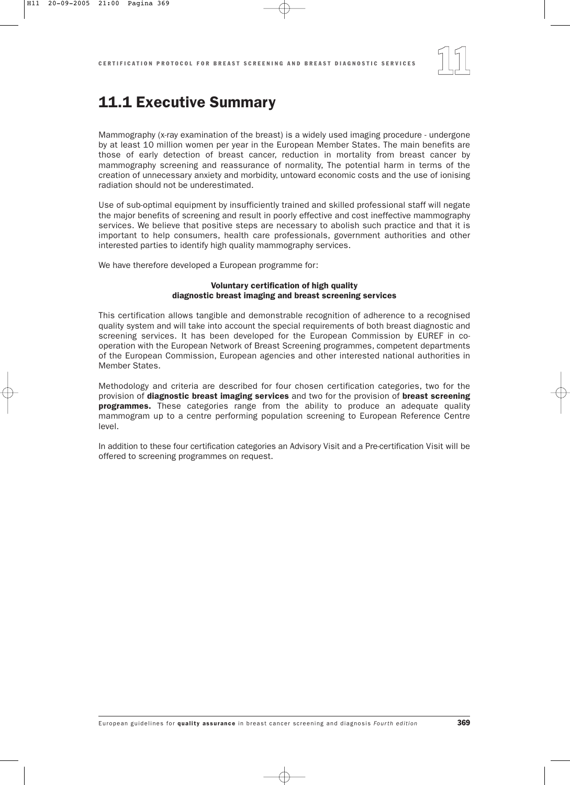

## 11.1 Executive Summary

Mammography (x-ray examination of the breast) is a widely used imaging procedure - undergone by at least 10 million women per year in the European Member States. The main benefits are those of early detection of breast cancer, reduction in mortality from breast cancer by mammography screening and reassurance of normality, The potential harm in terms of the creation of unnecessary anxiety and morbidity, untoward economic costs and the use of ionising radiation should not be underestimated.

Use of sub-optimal equipment by insufficiently trained and skilled professional staff will negate the major benefits of screening and result in poorly effective and cost ineffective mammography services. We believe that positive steps are necessary to abolish such practice and that it is important to help consumers, health care professionals, government authorities and other interested parties to identify high quality mammography services.

We have therefore developed a European programme for:

#### Voluntary certification of high quality diagnostic breast imaging and breast screening services

This certification allows tangible and demonstrable recognition of adherence to a recognised quality system and will take into account the special requirements of both breast diagnostic and screening services. It has been developed for the European Commission by EUREF in cooperation with the European Network of Breast Screening programmes, competent departments of the European Commission, European agencies and other interested national authorities in Member States.

Methodology and criteria are described for four chosen certification categories, two for the provision of diagnostic breast imaging services and two for the provision of breast screening programmes. These categories range from the ability to produce an adequate quality mammogram up to a centre performing population screening to European Reference Centre level.

In addition to these four certification categories an Advisory Visit and a Pre-certification Visit will be offered to screening programmes on request.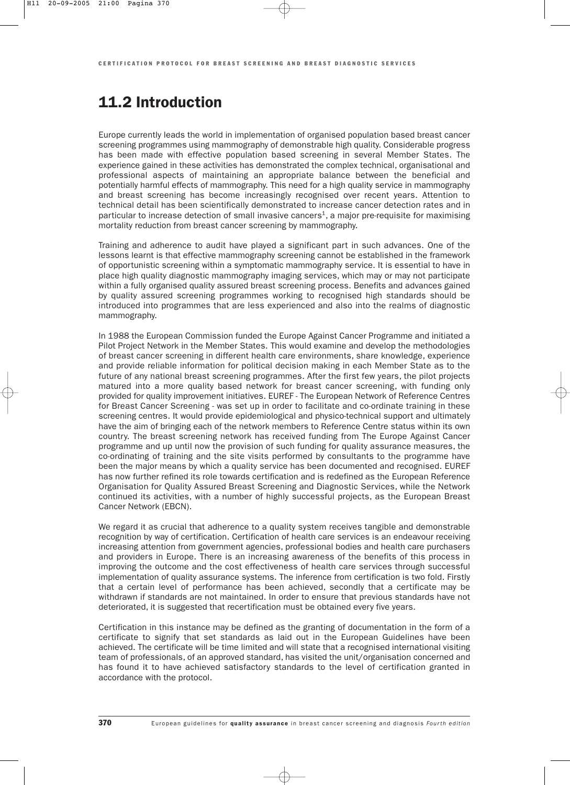## 11.2 Introduction

Europe currently leads the world in implementation of organised population based breast cancer screening programmes using mammography of demonstrable high quality. Considerable progress has been made with effective population based screening in several Member States. The experience gained in these activities has demonstrated the complex technical, organisational and professional aspects of maintaining an appropriate balance between the beneficial and potentially harmful effects of mammography. This need for a high quality service in mammography and breast screening has become increasingly recognised over recent years. Attention to technical detail has been scientifically demonstrated to increase cancer detection rates and in particular to increase detection of small invasive cancers<sup>1</sup>, a major pre-requisite for maximising mortality reduction from breast cancer screening by mammography.

Training and adherence to audit have played a significant part in such advances. One of the lessons learnt is that effective mammography screening cannot be established in the framework of opportunistic screening within a symptomatic mammography service. It is essential to have in place high quality diagnostic mammography imaging services, which may or may not participate within a fully organised quality assured breast screening process. Benefits and advances gained by quality assured screening programmes working to recognised high standards should be introduced into programmes that are less experienced and also into the realms of diagnostic mammography.

In 1988 the European Commission funded the Europe Against Cancer Programme and initiated a Pilot Project Network in the Member States. This would examine and develop the methodologies of breast cancer screening in different health care environments, share knowledge, experience and provide reliable information for political decision making in each Member State as to the future of any national breast screening programmes. After the first few years, the pilot projects matured into a more quality based network for breast cancer screening, with funding only provided for quality improvement initiatives. EUREF - The European Network of Reference Centres for Breast Cancer Screening - was set up in order to facilitate and co-ordinate training in these screening centres. It would provide epidemiological and physico-technical support and ultimately have the aim of bringing each of the network members to Reference Centre status within its own country. The breast screening network has received funding from The Europe Against Cancer programme and up until now the provision of such funding for quality assurance measures, the co-ordinating of training and the site visits performed by consultants to the programme have been the major means by which a quality service has been documented and recognised. EUREF has now further refined its role towards certification and is redefined as the European Reference Organisation for Quality Assured Breast Screening and Diagnostic Services, while the Network continued its activities, with a number of highly successful projects, as the European Breast Cancer Network (EBCN).

We regard it as crucial that adherence to a quality system receives tangible and demonstrable recognition by way of certification. Certification of health care services is an endeavour receiving increasing attention from government agencies, professional bodies and health care purchasers and providers in Europe. There is an increasing awareness of the benefits of this process in improving the outcome and the cost effectiveness of health care services through successful implementation of quality assurance systems. The inference from certification is two fold. Firstly that a certain level of performance has been achieved, secondly that a certificate may be withdrawn if standards are not maintained. In order to ensure that previous standards have not deteriorated, it is suggested that recertification must be obtained every five years.

Certification in this instance may be defined as the granting of documentation in the form of a certificate to signify that set standards as laid out in the European Guidelines have been achieved. The certificate will be time limited and will state that a recognised international visiting team of professionals, of an approved standard, has visited the unit/organisation concerned and has found it to have achieved satisfactory standards to the level of certification granted in accordance with the protocol.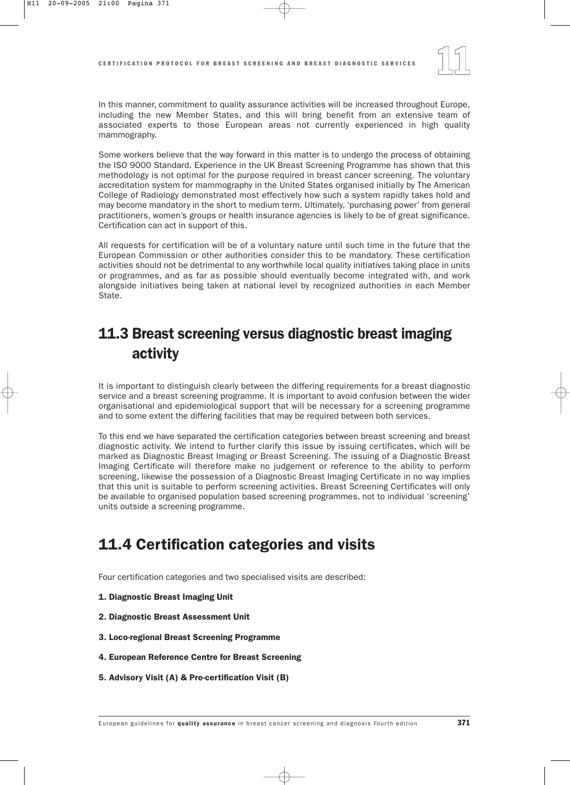

In this manner, commitment to quality assurance activities will be increased throughout Europe, including the new Member States, and this will bring benefit from an extensive team of associated experts to those European areas not currently experienced in high quality mammography.

Some workers believe that the way forward in this matter is to undergo the process of obtaining the ISO 9000 Standard. Experience in the UK Breast Screening Programme has shown that this methodology is not optimal for the purpose required in breast cancer screening. The voluntary accreditation system for mammography in the United States organised initially by The American College of Radiology demonstrated most effectively how such a system rapidly takes hold and may become mandatory in the short to medium term. Ultimately, 'purchasing power' from general practitioners, women's groups or health insurance agencies is likely to be of great significance. Certification can act in support of this.

All requests for certification will be of a voluntary nature until such time in the future that the European Commission or other authorities consider this to be mandatory. These certification activities should not be detrimental to any worthwhile local quality initiatives taking place in units or programmes, and as far as possible should eventually become integrated with, and work alongside initiatives being taken at national level by recognized authorities in each Member State.

## 11.3 Breast screening versus diagnostic breast imaging activity

It is important to distinguish clearly between the differing requirements for a breast diagnostic service and a breast screening programme. It is important to avoid confusion between the wider organisational and epidemiological support that will be necessary for a screening programme and to some extent the differing facilities that may be required between both services.

To this end we have separated the certification categories between breast screening and breast diagnostic activity. We intend to further clarify this issue by issuing certificates, which will be marked as Diagnostic Breast Imaging or Breast Screening. The issuing of a Diagnostic Breast Imaging Certificate will therefore make no judgement or reference to the ability to perform screening, likewise the possession of a Diagnostic Breast Imaging Certificate in no way implies that this unit is suitable to perform screening activities. Breast Screening Certificates will only be available to organised population based screening programmes, not to individual 'screening' units outside a screening programme.

## 11.4 Certification categories and visits

Four certification categories and two specialised visits are described:

- 1. Diagnostic Breast Imaging Unit
- 2. Diagnostic Breast Assessment Unit
- 3. Loco-regional Breast Screening Programme
- 4. European Reference Centre for Breast Screening
- 5. Advisory Visit (A) & Pre-certification Visit (B)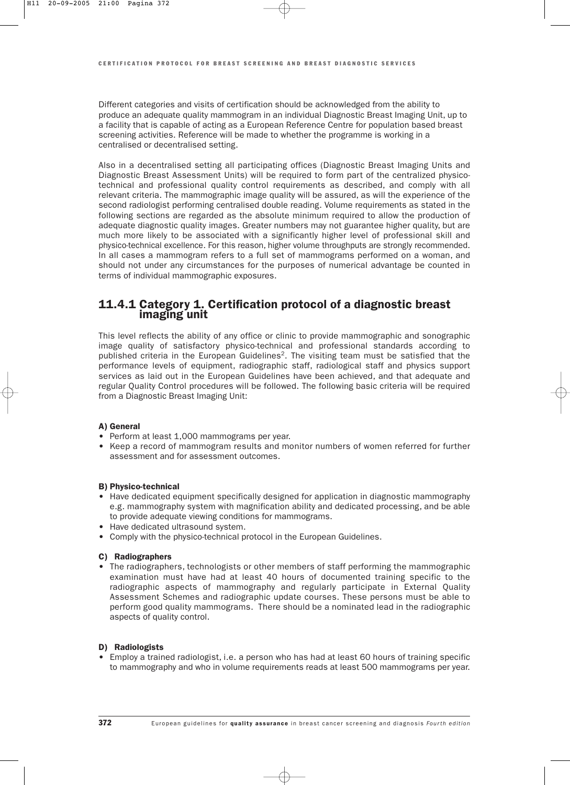Different categories and visits of certification should be acknowledged from the ability to produce an adequate quality mammogram in an individual Diagnostic Breast Imaging Unit, up to a facility that is capable of acting as a European Reference Centre for population based breast screening activities. Reference will be made to whether the programme is working in a centralised or decentralised setting.

Also in a decentralised setting all participating offices (Diagnostic Breast Imaging Units and Diagnostic Breast Assessment Units) will be required to form part of the centralized physicotechnical and professional quality control requirements as described, and comply with all relevant criteria. The mammographic image quality will be assured, as will the experience of the second radiologist performing centralised double reading. Volume requirements as stated in the following sections are regarded as the absolute minimum required to allow the production of adequate diagnostic quality images. Greater numbers may not guarantee higher quality, but are much more likely to be associated with a significantly higher level of professional skill and physico-technical excellence. For this reason, higher volume throughputs are strongly recommended. In all cases a mammogram refers to a full set of mammograms performed on a woman, and should not under any circumstances for the purposes of numerical advantage be counted in terms of individual mammographic exposures.

# 11.4.1 Category 1. Certification protocol of a diagnostic breast imaging unit

This level reflects the ability of any office or clinic to provide mammographic and sonographic image quality of satisfactory physico-technical and professional standards according to published criteria in the European Guidelines<sup>2</sup>. The visiting team must be satisfied that the performance levels of equipment, radiographic staff, radiological staff and physics support services as laid out in the European Guidelines have been achieved, and that adequate and regular Quality Control procedures will be followed. The following basic criteria will be required from a Diagnostic Breast Imaging Unit:

#### A) General

- Perform at least 1,000 mammograms per year.
- Keep a record of mammogram results and monitor numbers of women referred for further assessment and for assessment outcomes.

#### B) Physico-technical

- Have dedicated equipment specifically designed for application in diagnostic mammography e.g. mammography system with magnification ability and dedicated processing, and be able to provide adequate viewing conditions for mammograms.
- Have dedicated ultrasound system.
- Comply with the physico-technical protocol in the European Guidelines.

#### C) Radiographers

• The radiographers, technologists or other members of staff performing the mammographic examination must have had at least 40 hours of documented training specific to the radiographic aspects of mammography and regularly participate in External Quality Assessment Schemes and radiographic update courses. These persons must be able to perform good quality mammograms. There should be a nominated lead in the radiographic aspects of quality control.

#### D) Radiologists

• Employ a trained radiologist, i.e. a person who has had at least 60 hours of training specific to mammography and who in volume requirements reads at least 500 mammograms per year.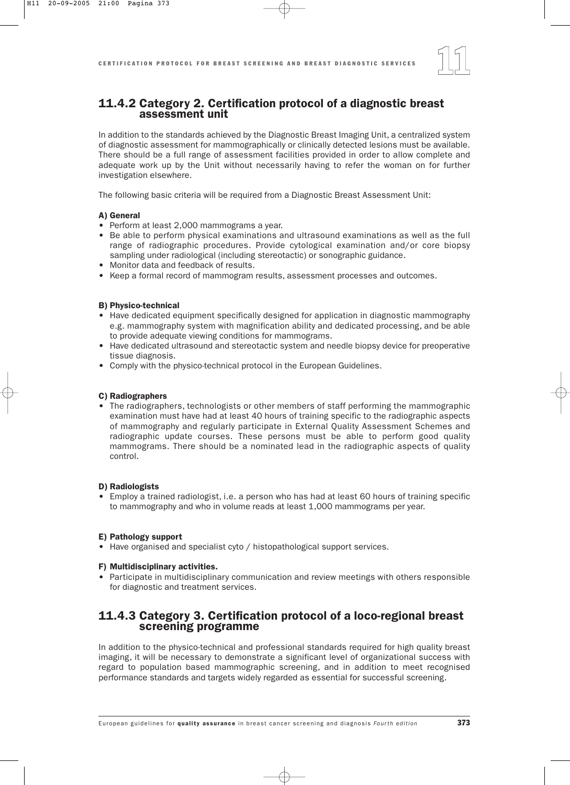

# 11.4.2 Category 2. Certification protocol of a diagnostic breast assessment unit

In addition to the standards achieved by the Diagnostic Breast Imaging Unit, a centralized system of diagnostic assessment for mammographically or clinically detected lesions must be available. There should be a full range of assessment facilities provided in order to allow complete and adequate work up by the Unit without necessarily having to refer the woman on for further investigation elsewhere.

The following basic criteria will be required from a Diagnostic Breast Assessment Unit:

#### A) General

- Perform at least 2,000 mammograms a year.
- Be able to perform physical examinations and ultrasound examinations as well as the full range of radiographic procedures. Provide cytological examination and/or core biopsy sampling under radiological (including stereotactic) or sonographic guidance.
- Monitor data and feedback of results.
- Keep a formal record of mammogram results, assessment processes and outcomes.

#### B) Physico-technical

- Have dedicated equipment specifically designed for application in diagnostic mammography e.g. mammography system with magnification ability and dedicated processing, and be able to provide adequate viewing conditions for mammograms.
- Have dedicated ultrasound and stereotactic system and needle biopsy device for preoperative tissue diagnosis.
- Comply with the physico-technical protocol in the European Guidelines.

#### C) Radiographers

• The radiographers, technologists or other members of staff performing the mammographic examination must have had at least 40 hours of training specific to the radiographic aspects of mammography and regularly participate in External Quality Assessment Schemes and radiographic update courses. These persons must be able to perform good quality mammograms. There should be a nominated lead in the radiographic aspects of quality control.

#### D) Radiologists

• Employ a trained radiologist, i.e. a person who has had at least 60 hours of training specific to mammography and who in volume reads at least 1,000 mammograms per year.

#### E) Pathology support

• Have organised and specialist cyto / histopathological support services.

#### F) Multidisciplinary activities.

• Participate in multidisciplinary communication and review meetings with others responsible for diagnostic and treatment services.

# 11.4.3 Category 3. Certification protocol of a loco-regional breast screening programme

In addition to the physico-technical and professional standards required for high quality breast imaging, it will be necessary to demonstrate a significant level of organizational success with regard to population based mammographic screening, and in addition to meet recognised performance standards and targets widely regarded as essential for successful screening.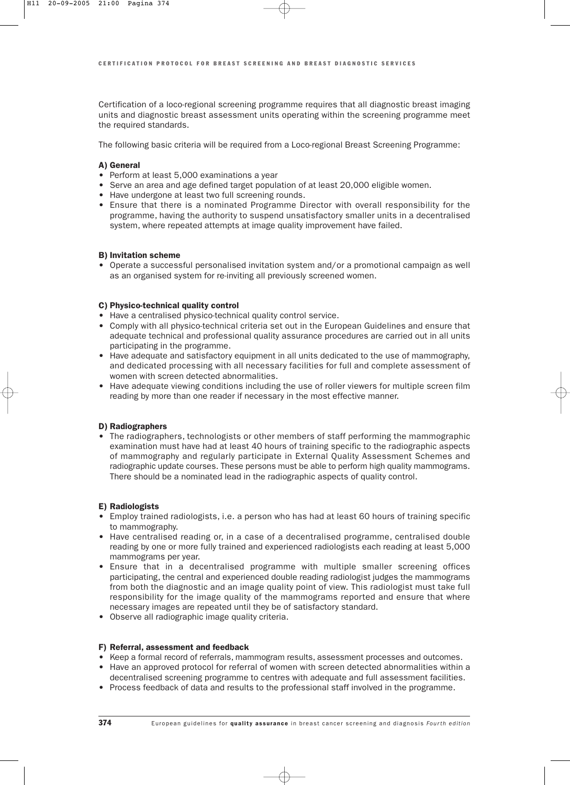Certification of a loco-regional screening programme requires that all diagnostic breast imaging units and diagnostic breast assessment units operating within the screening programme meet the required standards.

The following basic criteria will be required from a Loco-regional Breast Screening Programme:

#### A) General

- Perform at least 5,000 examinations a year
- Serve an area and age defined target population of at least 20,000 eligible women.
- Have undergone at least two full screening rounds.
- Ensure that there is a nominated Programme Director with overall responsibility for the programme, having the authority to suspend unsatisfactory smaller units in a decentralised system, where repeated attempts at image quality improvement have failed.

#### B) Invitation scheme

• Operate a successful personalised invitation system and/or a promotional campaign as well as an organised system for re-inviting all previously screened women.

#### C) Physico-technical quality control

- Have a centralised physico-technical quality control service.
- Comply with all physico-technical criteria set out in the European Guidelines and ensure that adequate technical and professional quality assurance procedures are carried out in all units participating in the programme.
- Have adequate and satisfactory equipment in all units dedicated to the use of mammography. and dedicated processing with all necessary facilities for full and complete assessment of women with screen detected abnormalities.
- Have adequate viewing conditions including the use of roller viewers for multiple screen film reading by more than one reader if necessary in the most effective manner.

#### D) Radiographers

• The radiographers, technologists or other members of staff performing the mammographic examination must have had at least 40 hours of training specific to the radiographic aspects of mammography and regularly participate in External Quality Assessment Schemes and radiographic update courses. These persons must be able to perform high quality mammograms. There should be a nominated lead in the radiographic aspects of quality control.

#### E) Radiologists

- Employ trained radiologists, i.e. a person who has had at least 60 hours of training specific to mammography.
- Have centralised reading or, in a case of a decentralised programme, centralised double reading by one or more fully trained and experienced radiologists each reading at least 5,000 mammograms per year.
- Ensure that in a decentralised programme with multiple smaller screening offices participating, the central and experienced double reading radiologist judges the mammograms from both the diagnostic and an image quality point of view. This radiologist must take full responsibility for the image quality of the mammograms reported and ensure that where necessary images are repeated until they be of satisfactory standard.
- Observe all radiographic image quality criteria.

#### F) Referral, assessment and feedback

- Keep a formal record of referrals, mammogram results, assessment processes and outcomes.
- Have an approved protocol for referral of women with screen detected abnormalities within a decentralised screening programme to centres with adequate and full assessment facilities.
- Process feedback of data and results to the professional staff involved in the programme.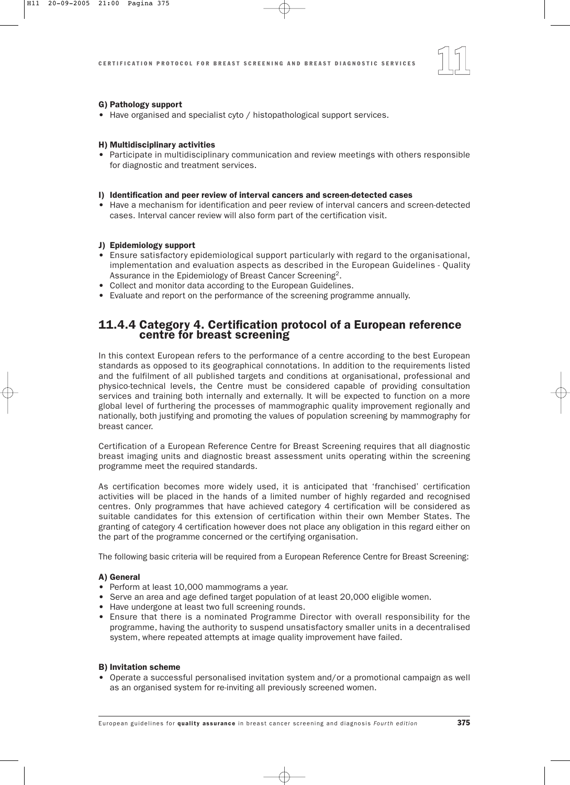

#### G) Pathology support

• Have organised and specialist cyto / histopathological support services.

#### H) Multidisciplinary activities

• Participate in multidisciplinary communication and review meetings with others responsible for diagnostic and treatment services.

#### I) Identification and peer review of interval cancers and screen-detected cases

• Have a mechanism for identification and peer review of interval cancers and screen-detected cases. Interval cancer review will also form part of the certification visit.

#### J) Epidemiology support

- Ensure satisfactory epidemiological support particularly with regard to the organisational, implementation and evaluation aspects as described in the European Guidelines - Quality Assurance in the Epidemiology of Breast Cancer Screening<sup>2</sup>.
- Collect and monitor data according to the European Guidelines.
- Evaluate and report on the performance of the screening programme annually.

# 11.4.4 Category 4. Certification protocol of a European reference<br>centre for breast screening

In this context European refers to the performance of a centre according to the best European standards as opposed to its geographical connotations. In addition to the requirements listed and the fulfilment of all published targets and conditions at organisational, professional and physico-technical levels, the Centre must be considered capable of providing consultation services and training both internally and externally. It will be expected to function on a more global level of furthering the processes of mammographic quality improvement regionally and nationally, both justifying and promoting the values of population screening by mammography for breast cancer.

Certification of a European Reference Centre for Breast Screening requires that all diagnostic breast imaging units and diagnostic breast assessment units operating within the screening programme meet the required standards.

As certification becomes more widely used, it is anticipated that 'franchised' certification activities will be placed in the hands of a limited number of highly regarded and recognised centres. Only programmes that have achieved category 4 certification will be considered as suitable candidates for this extension of certification within their own Member States. The granting of category 4 certification however does not place any obligation in this regard either on the part of the programme concerned or the certifying organisation.

The following basic criteria will be required from a European Reference Centre for Breast Screening:

#### A) General

- Perform at least 10,000 mammograms a year.
- Serve an area and age defined target population of at least 20,000 eligible women.
- Have undergone at least two full screening rounds.
- Ensure that there is a nominated Programme Director with overall responsibility for the programme, having the authority to suspend unsatisfactory smaller units in a decentralised system, where repeated attempts at image quality improvement have failed.

#### B) Invitation scheme

• Operate a successful personalised invitation system and/or a promotional campaign as well as an organised system for re-inviting all previously screened women.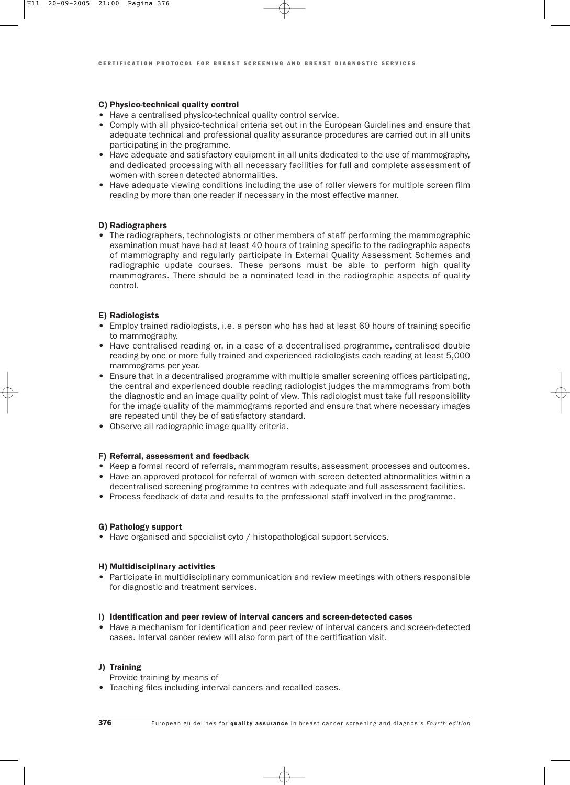#### C) Physico-technical quality control

- Have a centralised physico-technical quality control service.
- Comply with all physico-technical criteria set out in the European Guidelines and ensure that adequate technical and professional quality assurance procedures are carried out in all units participating in the programme.
- Have adequate and satisfactory equipment in all units dedicated to the use of mammography, and dedicated processing with all necessary facilities for full and complete assessment of women with screen detected abnormalities.
- Have adequate viewing conditions including the use of roller viewers for multiple screen film reading by more than one reader if necessary in the most effective manner.

#### D) Radiographers

• The radiographers, technologists or other members of staff performing the mammographic examination must have had at least 40 hours of training specific to the radiographic aspects of mammography and regularly participate in External Quality Assessment Schemes and radiographic update courses. These persons must be able to perform high quality mammograms. There should be a nominated lead in the radiographic aspects of quality control.

#### E) Radiologists

- Employ trained radiologists, i.e. a person who has had at least 60 hours of training specific to mammography.
- Have centralised reading or, in a case of a decentralised programme, centralised double reading by one or more fully trained and experienced radiologists each reading at least 5,000 mammograms per year.
- Ensure that in a decentralised programme with multiple smaller screening offices participating. the central and experienced double reading radiologist judges the mammograms from both the diagnostic and an image quality point of view. This radiologist must take full responsibility for the image quality of the mammograms reported and ensure that where necessary images are repeated until they be of satisfactory standard.
- Observe all radiographic image quality criteria.

#### F) Referral, assessment and feedback

- Keep a formal record of referrals, mammogram results, assessment processes and outcomes.
- Have an approved protocol for referral of women with screen detected abnormalities within a decentralised screening programme to centres with adequate and full assessment facilities.
- Process feedback of data and results to the professional staff involved in the programme.

#### G) Pathology support

• Have organised and specialist cyto / histopathological support services.

#### H) Multidisciplinary activities

• Participate in multidisciplinary communication and review meetings with others responsible for diagnostic and treatment services.

#### I) Identification and peer review of interval cancers and screen-detected cases

• Have a mechanism for identification and peer review of interval cancers and screen-detected cases. Interval cancer review will also form part of the certification visit.

#### J) Training

- Provide training by means of
- Teaching files including interval cancers and recalled cases.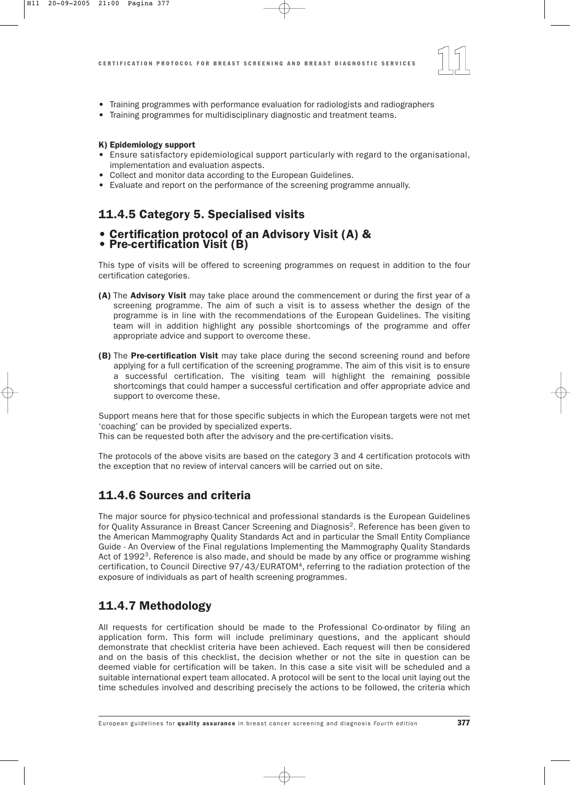

- Training programmes with performance evaluation for radiologists and radiographers
- Training programmes for multidisciplinary diagnostic and treatment teams.

#### K) Epidemiology support

- Ensure satisfactory epidemiological support particularly with regard to the organisational, implementation and evaluation aspects.
- Collect and monitor data according to the European Guidelines.
- Evaluate and report on the performance of the screening programme annually.

### 11.4.5 Category 5. Specialised visits

### • Certification protocol of an Advisory Visit (A) & • Pre-certification Visit (B)

This type of visits will be offered to screening programmes on request in addition to the four certification categories.

- (A) The Advisory Visit may take place around the commencement or during the first year of a screening programme. The aim of such a visit is to assess whether the design of the programme is in line with the recommendations of the European Guidelines. The visiting team will in addition highlight any possible shortcomings of the programme and offer appropriate advice and support to overcome these.
- (B) The Pre-certification Visit may take place during the second screening round and before applying for a full certification of the screening programme. The aim of this visit is to ensure a successful certification. The visiting team will highlight the remaining possible shortcomings that could hamper a successful certification and offer appropriate advice and support to overcome these.

Support means here that for those specific subjects in which the European targets were not met 'coaching' can be provided by specialized experts.

This can be requested both after the advisory and the pre-certification visits.

The protocols of the above visits are based on the category 3 and 4 certification protocols with the exception that no review of interval cancers will be carried out on site.

### 11.4.6 Sources and criteria

The major source for physico-technical and professional standards is the European Guidelines for Quality Assurance in Breast Cancer Screening and Diagnosis<sup>2</sup>. Reference has been given to the American Mammography Quality Standards Act and in particular the Small Entity Compliance Guide - An Overview of the Final regulations Implementing the Mammography Quality Standards Act of 1992<sup>3</sup>. Reference is also made, and should be made by any office or programme wishing certification, to Council Directive 97/43/EURATOM4, referring to the radiation protection of the exposure of individuals as part of health screening programmes.

### 11.4.7 Methodology

All requests for certification should be made to the Professional Co-ordinator by filing an application form. This form will include preliminary questions, and the applicant should demonstrate that checklist criteria have been achieved. Each request will then be considered and on the basis of this checklist, the decision whether or not the site in question can be deemed viable for certification will be taken. In this case a site visit will be scheduled and a suitable international expert team allocated. A protocol will be sent to the local unit laying out the time schedules involved and describing precisely the actions to be followed, the criteria which